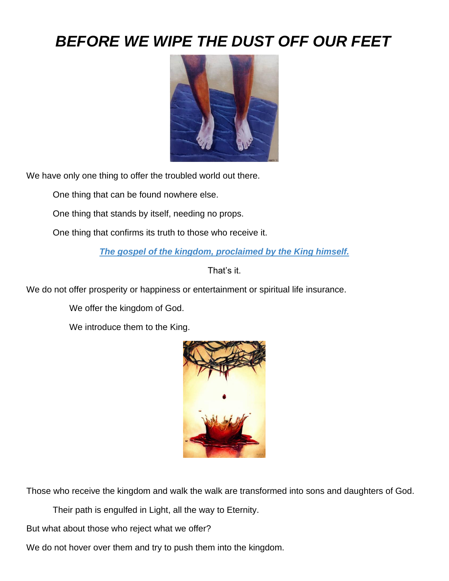## *BEFORE WE WIPE THE DUST OFF OUR FEET*



We have only one thing to offer the troubled world out there.

One thing that can be found nowhere else.

One thing that stands by itself, needing no props.

One thing that confirms its truth to those who receive it.

*The gospel of the kingdom, proclaimed by the King himself.*

That's it.

We do not offer prosperity or happiness or entertainment or spiritual life insurance.

We offer the kingdom of God.

We introduce them to the King.



Those who receive the kingdom and walk the walk are transformed into sons and daughters of God.

Their path is engulfed in Light, all the way to Eternity.

But what about those who reject what we offer?

We do not hover over them and try to push them into the kingdom.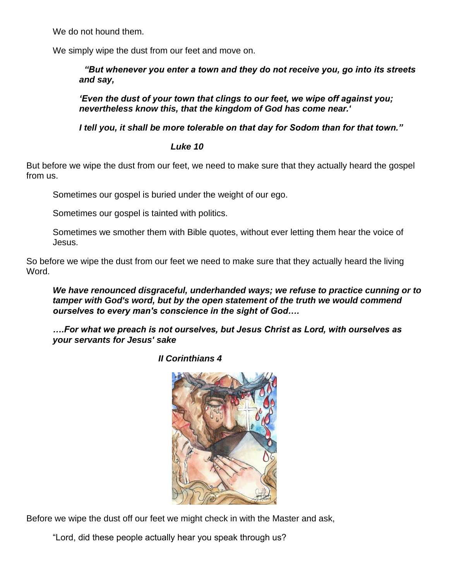We do not hound them.

We simply wipe the dust from our feet and move on.

 *"But whenever you enter a town and they do not receive you, go into its streets and say,*

*'Even the dust of your town that clings to our feet, we wipe off against you; nevertheless know this, that the kingdom of God has come near.'*

*I tell you, it shall be more tolerable on that day for Sodom than for that town."* 

## *Luke 10*

But before we wipe the dust from our feet, we need to make sure that they actually heard the gospel from us.

Sometimes our gospel is buried under the weight of our ego.

Sometimes our gospel is tainted with politics.

Sometimes we smother them with Bible quotes, without ever letting them hear the voice of Jesus.

So before we wipe the dust from our feet we need to make sure that they actually heard the living Word.

*We have renounced disgraceful, underhanded ways; we refuse to practice cunning or to tamper with God's word, but by the open statement of the truth we would commend ourselves to every man's conscience in the sight of God….*

*….For what we preach is not ourselves, but Jesus Christ as Lord, with ourselves as your servants for Jesus' sake*

 *II Corinthians 4*



Before we wipe the dust off our feet we might check in with the Master and ask,

"Lord, did these people actually hear you speak through us?